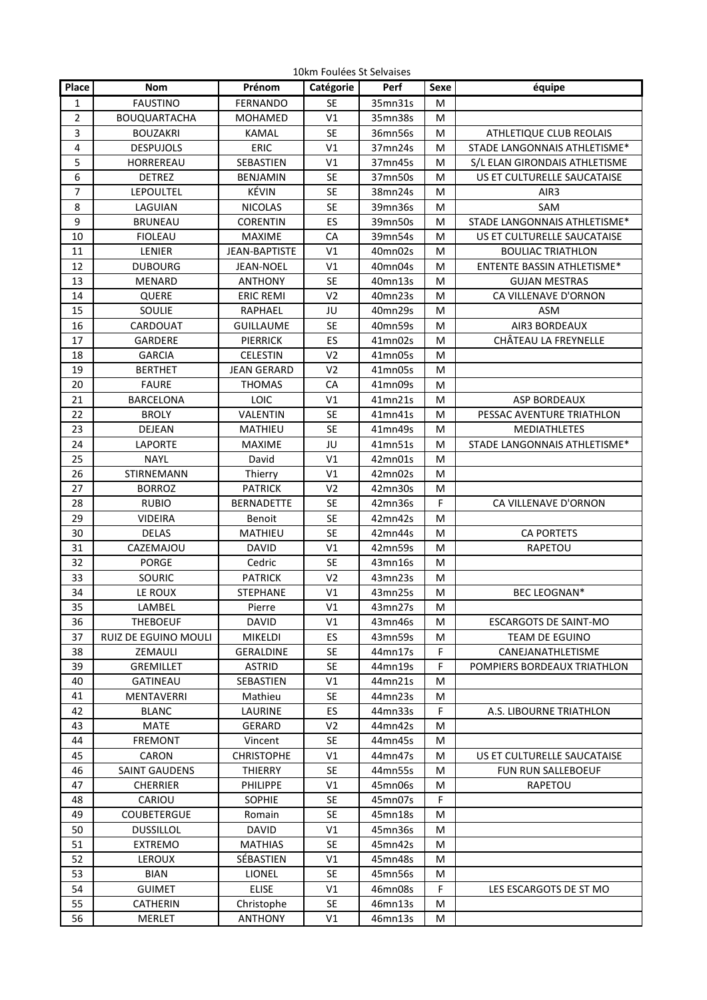| 10km Foulées St Selvaises |  |  |
|---------------------------|--|--|
|---------------------------|--|--|

| Place          |                      |                      |                | Perf               |           |                               |
|----------------|----------------------|----------------------|----------------|--------------------|-----------|-------------------------------|
|                | <b>Nom</b>           | Prénom               | Catégorie      |                    | Sexe      | équipe                        |
| $\mathbf{1}$   | <b>FAUSTINO</b>      | <b>FERNANDO</b>      | <b>SE</b>      | 35mn31s            | M         |                               |
| 2              | <b>BOUQUARTACHA</b>  | <b>MOHAMED</b>       | V1             | 35mn38s            | M         |                               |
| 3              | <b>BOUZAKRI</b>      | <b>KAMAL</b>         | <b>SE</b>      | 36mn56s            | ${\sf M}$ | ATHLETIQUE CLUB REOLAIS       |
| 4              | <b>DESPUJOLS</b>     | ERIC                 | V1             | 37mn24s            | M         | STADE LANGONNAIS ATHLETISME*  |
| 5              | HORREREAU            | SEBASTIEN            | V1             | 37mn45s            | M         | S/L ELAN GIRONDAIS ATHLETISME |
| 6              | <b>DETREZ</b>        | <b>BENJAMIN</b>      | <b>SE</b>      | 37mn50s            | M         | US ET CULTURELLE SAUCATAISE   |
| $\overline{7}$ | <b>LEPOULTEL</b>     | KÉVIN                | <b>SE</b>      | 38mn24s            | M         | AIR3                          |
| 8              | LAGUIAN              | <b>NICOLAS</b>       | <b>SE</b>      | 39mn36s            | M         | SAM                           |
| 9              | <b>BRUNEAU</b>       | <b>CORENTIN</b>      | ES             | 39mn50s            | M         | STADE LANGONNAIS ATHLETISME*  |
| 10             | <b>FIOLEAU</b>       | <b>MAXIME</b>        | CA             | 39mn54s            | M         | US ET CULTURELLE SAUCATAISE   |
| 11             | LENIER               | <b>JEAN-BAPTISTE</b> | V1             | 40mn02s            | M         | <b>BOULIAC TRIATHLON</b>      |
| 12             | <b>DUBOURG</b>       | <b>JEAN-NOEL</b>     | V1             | 40mn04s            | M         | ENTENTE BASSIN ATHLETISME*    |
| 13             | <b>MENARD</b>        | <b>ANTHONY</b>       | <b>SE</b>      | 40mn13s            | M         | <b>GUJAN MESTRAS</b>          |
| 14             | QUERE                | <b>ERIC REMI</b>     | V <sub>2</sub> | 40mn23s            | M         | CA VILLENAVE D'ORNON          |
| 15             | SOULIE               | RAPHAEL              | JU             | 40mn29s            | M         | <b>ASM</b>                    |
| 16             | CARDOUAT             | <b>GUILLAUME</b>     | <b>SE</b>      | 40mn59s            | M         | AIR3 BORDEAUX                 |
| 17             | GARDERE              | <b>PIERRICK</b>      | ES             | 41mn02s            | м         | CHÂTEAU LA FREYNELLE          |
| 18             | <b>GARCIA</b>        | <b>CELESTIN</b>      | V <sub>2</sub> | 41mn05s            | M         |                               |
| 19             | <b>BERTHET</b>       | <b>JEAN GERARD</b>   | V <sub>2</sub> | 41mn05s            | M         |                               |
| 20             | <b>FAURE</b>         | <b>THOMAS</b>        | CA             | 41mn09s            | M         |                               |
| 21             | <b>BARCELONA</b>     | LOIC                 | V1             | 41mn21s            | M         | <b>ASP BORDEAUX</b>           |
| 22             | <b>BROLY</b>         | VALENTIN             | <b>SE</b>      | 41mn41s            | M         | PESSAC AVENTURE TRIATHLON     |
| 23             | DEJEAN               | MATHIEU              | <b>SE</b>      | 41mn49s            | M         | <b>MEDIATHLETES</b>           |
| 24             | <b>LAPORTE</b>       | <b>MAXIME</b>        | JU             | 41mn51s            | M         | STADE LANGONNAIS ATHLETISME*  |
| 25             | <b>NAYL</b>          | David                | V <sub>1</sub> | 42mn01s            | M         |                               |
| 26             | STIRNEMANN           | Thierry              | V <sub>1</sub> | 42mn02s            | M         |                               |
| 27             | <b>BORROZ</b>        | <b>PATRICK</b>       | V <sub>2</sub> | 42mn30s            | M         |                               |
|                | <b>RUBIO</b>         | <b>BERNADETTE</b>    | <b>SE</b>      | 42mn36s            | F         | CA VILLENAVE D'ORNON          |
| 28<br>29       | <b>VIDEIRA</b>       |                      | <b>SE</b>      |                    | M         |                               |
| 30             | <b>DELAS</b>         | Benoit<br>MATHIEU    | <b>SE</b>      | 42mn42s<br>42mn44s |           | <b>CA PORTETS</b>             |
|                |                      |                      |                |                    | M         |                               |
| 31             | CAZEMAJOU            | <b>DAVID</b>         | V1             | 42mn59s            | M         | RAPETOU                       |
| 32             | <b>PORGE</b>         | Cedric               | <b>SE</b>      | 43mn16s            | M         |                               |
| 33             | SOURIC               | <b>PATRICK</b>       | V <sub>2</sub> | 43mn23s            | M         |                               |
| 34             | LE ROUX              | <b>STEPHANE</b>      | V1             | 43mn25s            | M         | <b>BEC LEOGNAN*</b>           |
| 35             | LAMBEL               | Pierre               | $\vee\!1$      | 43mn27s            | ${\sf M}$ |                               |
| 36             | <b>THEBOEUF</b>      | DAVID                | V1             | 43mn46s            | M         | ESCARGOTS DE SAINT-MO         |
| 37             | RUIZ DE EGUINO MOULI | <b>MIKELDI</b>       | ES.            | 43mn59s            | М         | TEAM DE EGUINO                |
| 38             | ZEMAULI              | <b>GERALDINE</b>     | <b>SE</b>      | 44mn17s            | F         | CANEJANATHLETISME             |
| 39             | <b>GREMILLET</b>     | <b>ASTRID</b>        | SE             | 44mn19s            | F         | POMPIERS BORDEAUX TRIATHLON   |
| 40             | <b>GATINEAU</b>      | SEBASTIEN            | V1             | 44mn21s            | M         |                               |
| 41             | MENTAVERRI           | Mathieu              | SE             | 44mn23s            | М         |                               |
| 42             | <b>BLANC</b>         | LAURINE              | ES             | 44mn33s            | F.        | A.S. LIBOURNE TRIATHLON       |
| 43             | MATE                 | GERARD               | V2             | 44mn42s            | М         |                               |
| 44             | <b>FREMONT</b>       | Vincent              | SE             | 44mn45s            | М         |                               |
| 45             | CARON                | <b>CHRISTOPHE</b>    | V1             | 44mn47s            | M         | US ET CULTURELLE SAUCATAISE   |
| 46             | SAINT GAUDENS        | THIERRY              | SE             | 44mn55s            | M         | FUN RUN SALLEBOEUF            |
| 47             | <b>CHERRIER</b>      | PHILIPPE             | V1             | 45mn06s            | М         | RAPETOU                       |
| 48             | CARIOU               | <b>SOPHIE</b>        | <b>SE</b>      | 45mn07s            | F         |                               |
| 49             | <b>COUBETERGUE</b>   | Romain               | <b>SE</b>      | 45mn18s            | М         |                               |
| 50             | <b>DUSSILLOL</b>     | <b>DAVID</b>         | V1             | 45mn36s            | м         |                               |
| 51             | <b>EXTREMO</b>       | <b>MATHIAS</b>       | <b>SE</b>      | 45mn42s            | М         |                               |
| 52             | <b>LEROUX</b>        | SÉBASTIEN            | V1             | 45mn48s            | M         |                               |
| 53             | <b>BIAN</b>          | <b>LIONEL</b>        | SE             | 45mn56s            | М         |                               |
| 54             | <b>GUIMET</b>        | <b>ELISE</b>         | V1             | 46mn08s            | F         | LES ESCARGOTS DE ST MO        |
| 55             | CATHERIN             | Christophe           | <b>SE</b>      | 46mn13s            | M         |                               |
| 56             | MERLET               | <b>ANTHONY</b>       | V1             | 46mn13s            | M         |                               |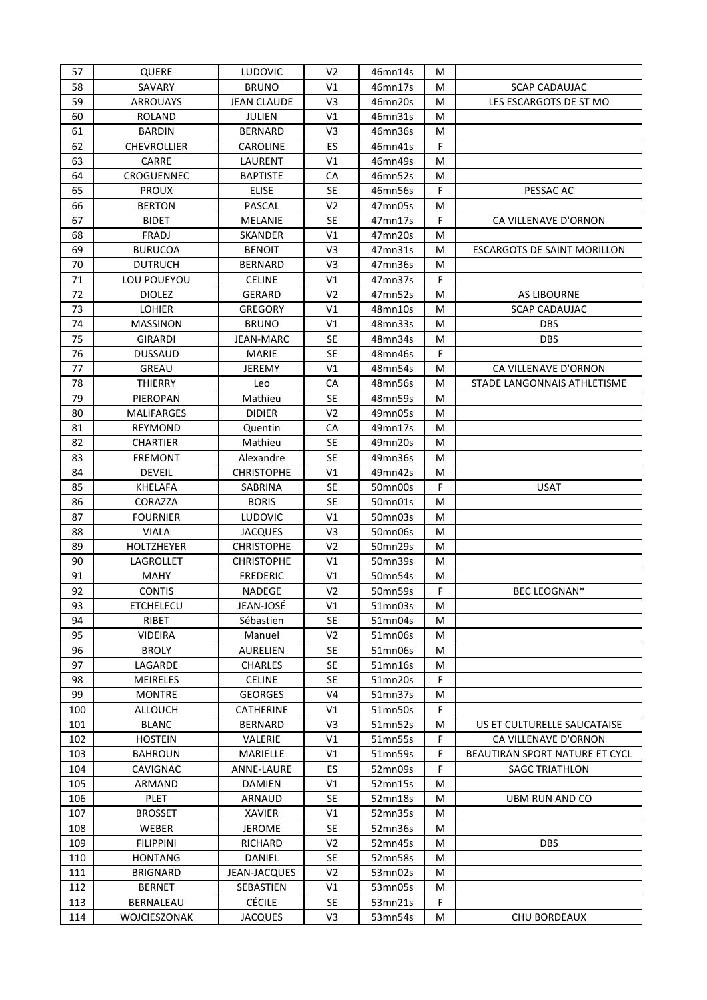| 57  | <b>QUERE</b>       | <b>LUDOVIC</b>     | V <sub>2</sub> | 46mn14s | M |                                |
|-----|--------------------|--------------------|----------------|---------|---|--------------------------------|
| 58  | SAVARY             | <b>BRUNO</b>       | V1             | 46mn17s | м | <b>SCAP CADAUJAC</b>           |
| 59  | <b>ARROUAYS</b>    | <b>JEAN CLAUDE</b> | V <sub>3</sub> | 46mn20s | M | LES ESCARGOTS DE ST MO         |
| 60  | <b>ROLAND</b>      | <b>JULIEN</b>      | V1             | 46mn31s | M |                                |
| 61  | <b>BARDIN</b>      | <b>BERNARD</b>     | V3             | 46mn36s | М |                                |
| 62  | <b>CHEVROLLIER</b> | <b>CAROLINE</b>    | ES             | 46mn41s | F |                                |
| 63  | CARRE              | LAURENT            | V1             | 46mn49s | м |                                |
| 64  | <b>CROGUENNEC</b>  | <b>BAPTISTE</b>    | CA             | 46mn52s | M |                                |
| 65  | <b>PROUX</b>       | <b>ELISE</b>       | <b>SE</b>      | 46mn56s | F | PESSAC AC                      |
| 66  | <b>BERTON</b>      | PASCAL             | V <sub>2</sub> | 47mn05s | M |                                |
| 67  | <b>BIDET</b>       | MELANIE            | <b>SE</b>      | 47mn17s | F | CA VILLENAVE D'ORNON           |
| 68  | FRADJ              | SKANDER            | V1             | 47mn20s | М |                                |
| 69  | <b>BURUCOA</b>     | <b>BENOIT</b>      | V <sub>3</sub> | 47mn31s | М | ESCARGOTS DE SAINT MORILLON    |
| 70  | <b>DUTRUCH</b>     | <b>BERNARD</b>     | V3             | 47mn36s | М |                                |
| 71  | LOU POUEYOU        | <b>CELINE</b>      | V1             | 47mn37s | F |                                |
| 72  | <b>DIOLEZ</b>      | GERARD             | V <sub>2</sub> | 47mn52s | M | <b>AS LIBOURNE</b>             |
| 73  | LOHIER             | <b>GREGORY</b>     | V1             | 48mn10s | M | <b>SCAP CADAUJAC</b>           |
| 74  | <b>MASSINON</b>    | <b>BRUNO</b>       | V1             | 48mn33s | М | <b>DBS</b>                     |
| 75  | GIRARDI            | JEAN-MARC          | <b>SE</b>      | 48mn34s | M | <b>DBS</b>                     |
| 76  | <b>DUSSAUD</b>     | <b>MARIE</b>       | <b>SE</b>      | 48mn46s | F |                                |
| 77  | GREAU              | JEREMY             | V1             | 48mn54s | м | CA VILLENAVE D'ORNON           |
| 78  | <b>THIERRY</b>     | Leo                | CA             | 48mn56s | М | STADE LANGONNAIS ATHLETISME    |
| 79  | PIEROPAN           | Mathieu            | <b>SE</b>      | 48mn59s | м |                                |
| 80  | <b>MALIFARGES</b>  | <b>DIDIER</b>      | V <sub>2</sub> | 49mn05s | M |                                |
| 81  | <b>REYMOND</b>     | Quentin            | CA             | 49mn17s | М |                                |
| 82  | <b>CHARTIER</b>    | Mathieu            | <b>SE</b>      | 49mn20s | M |                                |
| 83  | <b>FREMONT</b>     | Alexandre          | <b>SE</b>      | 49mn36s | M |                                |
| 84  | <b>DEVEIL</b>      | <b>CHRISTOPHE</b>  | V1             | 49mn42s | M |                                |
| 85  | <b>KHELAFA</b>     | SABRINA            | <b>SE</b>      | 50mn00s | F | <b>USAT</b>                    |
| 86  | CORAZZA            | <b>BORIS</b>       | <b>SE</b>      | 50mn01s | M |                                |
| 87  | <b>FOURNIER</b>    | <b>LUDOVIC</b>     | V1             | 50mn03s | М |                                |
| 88  | VIALA              | <b>JACQUES</b>     | V <sub>3</sub> | 50mn06s | M |                                |
| 89  | <b>HOLTZHEYER</b>  | <b>CHRISTOPHE</b>  | V <sub>2</sub> | 50mn29s | м |                                |
| 90  | LAGROLLET          | <b>CHRISTOPHE</b>  | V1             | 50mn39s | м |                                |
| 91  | <b>MAHY</b>        | <b>FREDERIC</b>    | V1             | 50mn54s | М |                                |
| 92  | <b>CONTIS</b>      | <b>NADEGE</b>      | V <sub>2</sub> | 50mn59s | F | <b>BEC LEOGNAN*</b>            |
| 93  | <b>ETCHELECU</b>   | JEAN-JOSÉ          | V1             | 51mn03s | М |                                |
| 94  | RIBET              | Sébastien          | SE             | 51mn04s | М |                                |
| 95  | <b>VIDEIRA</b>     | Manuel             | V <sub>2</sub> | 51mn06s | М |                                |
| 96  | <b>BROLY</b>       | AURELIEN           | <b>SE</b>      | 51mn06s | М |                                |
| 97  | LAGARDE            | <b>CHARLES</b>     | SE             | 51mn16s | М |                                |
| 98  | <b>MEIRELES</b>    | <b>CELINE</b>      | <b>SE</b>      | 51mn20s | F |                                |
| 99  | <b>MONTRE</b>      | <b>GEORGES</b>     | V <sub>4</sub> | 51mn37s | М |                                |
| 100 | <b>ALLOUCH</b>     | CATHERINE          | V1             | 51mn50s | F |                                |
| 101 | <b>BLANC</b>       | <b>BERNARD</b>     | V3             | 51mn52s | М | US ET CULTURELLE SAUCATAISE    |
| 102 | <b>HOSTEIN</b>     | VALERIE            | V1             | 51mn55s | F | CA VILLENAVE D'ORNON           |
| 103 | <b>BAHROUN</b>     | MARIELLE           | V1             | 51mn59s | F | BEAUTIRAN SPORT NATURE ET CYCL |
| 104 | CAVIGNAC           | ANNE-LAURE         | ES             | 52mn09s | F | <b>SAGC TRIATHLON</b>          |
| 105 | ARMAND             | DAMIEN             | V1             | 52mn15s | M |                                |
| 106 | PLET               | ARNAUD             | <b>SE</b>      | 52mn18s | M | UBM RUN AND CO                 |
| 107 | <b>BROSSET</b>     | XAVIER             | V1             | 52mn35s | M |                                |
| 108 | WEBER              | <b>JEROME</b>      | SE             | 52mn36s | М |                                |
| 109 | <b>FILIPPINI</b>   | RICHARD            | V <sub>2</sub> | 52mn45s | М | <b>DBS</b>                     |
| 110 | <b>HONTANG</b>     | DANIEL             | SE             | 52mn58s | М |                                |
| 111 | <b>BRIGNARD</b>    | JEAN-JACQUES       | V <sub>2</sub> | 53mn02s | М |                                |
| 112 | <b>BERNET</b>      | SEBASTIEN          | V1             | 53mn05s | М |                                |
| 113 | BERNALEAU          | <b>CÉCILE</b>      | <b>SE</b>      | 53mn21s | F |                                |
| 114 | WOJCIESZONAK       | <b>JACQUES</b>     | V3             | 53mn54s | M | CHU BORDEAUX                   |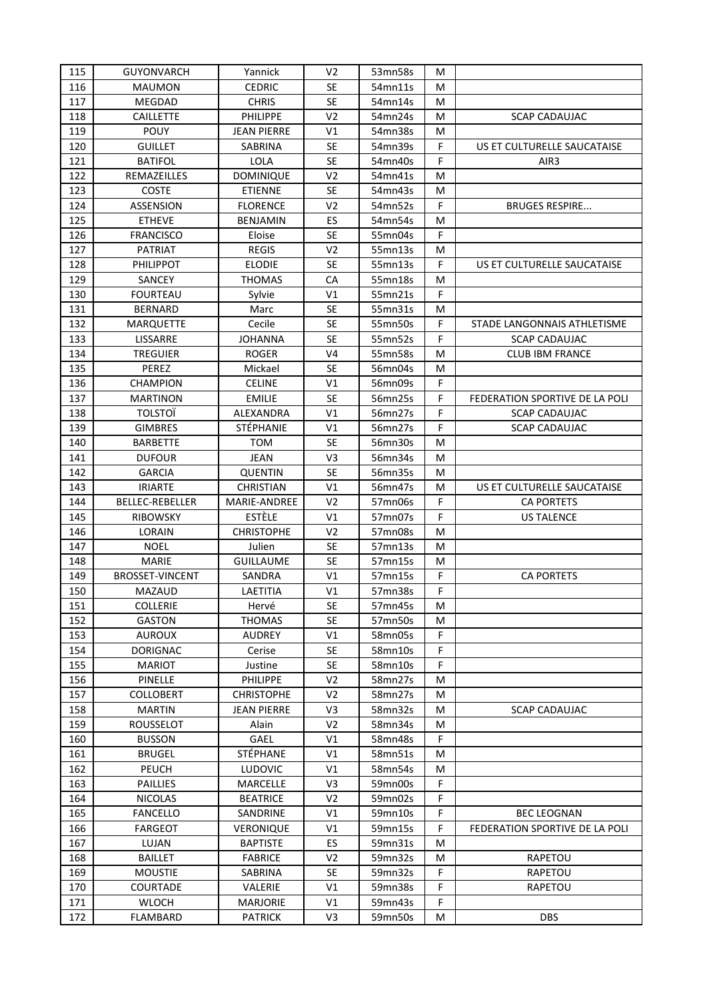| 115 | <b>GUYONVARCH</b>      | Yannick            | V <sub>2</sub> | 53mn58s | М           |                                |
|-----|------------------------|--------------------|----------------|---------|-------------|--------------------------------|
| 116 | <b>MAUMON</b>          | <b>CEDRIC</b>      | <b>SE</b>      | 54mn11s | М           |                                |
| 117 | <b>MEGDAD</b>          | <b>CHRIS</b>       | <b>SE</b>      | 54mn14s | M           |                                |
| 118 | <b>CAILLETTE</b>       | <b>PHILIPPE</b>    | V <sub>2</sub> | 54mn24s | M           | <b>SCAP CADAUJAC</b>           |
| 119 | <b>POUY</b>            | <b>JEAN PIERRE</b> | V1             | 54mn38s | M           |                                |
| 120 | <b>GUILLET</b>         | SABRINA            | <b>SE</b>      | 54mn39s | F           | US ET CULTURELLE SAUCATAISE    |
| 121 | <b>BATIFOL</b>         | LOLA               | <b>SE</b>      | 54mn40s | F           | AIR3                           |
| 122 | REMAZEILLES            | <b>DOMINIQUE</b>   | V <sub>2</sub> | 54mn41s | м           |                                |
| 123 | <b>COSTE</b>           | <b>ETIENNE</b>     | <b>SE</b>      | 54mn43s | M           |                                |
| 124 | ASSENSION              | <b>FLORENCE</b>    | V <sub>2</sub> | 54mn52s | F           | <b>BRUGES RESPIRE</b>          |
| 125 | <b>ETHEVE</b>          | <b>BENJAMIN</b>    | ES             | 54mn54s | M           |                                |
| 126 | <b>FRANCISCO</b>       | Eloise             | SE             | 55mn04s | F           |                                |
| 127 | <b>PATRIAT</b>         | REGIS              | V <sub>2</sub> | 55mn13s | М           |                                |
| 128 | <b>PHILIPPOT</b>       | <b>ELODIE</b>      | <b>SE</b>      | 55mn13s | F           | US ET CULTURELLE SAUCATAISE    |
| 129 | SANCEY                 | <b>THOMAS</b>      | CA             | 55mn18s | М           |                                |
| 130 | <b>FOURTEAU</b>        | Sylvie             | V1             | 55mn21s | F           |                                |
| 131 | <b>BERNARD</b>         | Marc               | <b>SE</b>      | 55mn31s | M           |                                |
| 132 | <b>MARQUETTE</b>       | Cecile             | <b>SE</b>      | 55mn50s | F           | STADE LANGONNAIS ATHLETISME    |
| 133 | LISSARRE               | <b>JOHANNA</b>     | <b>SE</b>      | 55mn52s | F           | <b>SCAP CADAUJAC</b>           |
| 134 | TREGUIER               | <b>ROGER</b>       | V <sub>4</sub> | 55mn58s | M           | <b>CLUB IBM FRANCE</b>         |
| 135 | PEREZ                  | Mickael            | <b>SE</b>      | 56mn04s | M           |                                |
| 136 | CHAMPION               | <b>CELINE</b>      | V <sub>1</sub> | 56mn09s | F           |                                |
| 137 | <b>MARTINON</b>        | <b>EMILIE</b>      | <b>SE</b>      | 56mn25s | F           | FEDERATION SPORTIVE DE LA POLI |
| 138 | <b>TOLSTOI</b>         | ALEXANDRA          | V <sub>1</sub> | 56mn27s | F           | <b>SCAP CADAUJAC</b>           |
| 139 | <b>GIMBRES</b>         | <b>STÉPHANIE</b>   | V <sub>1</sub> | 56mn27s | F           | <b>SCAP CADAUJAC</b>           |
| 140 | <b>BARBETTE</b>        | том                | <b>SE</b>      | 56mn30s | М           |                                |
| 141 | <b>DUFOUR</b>          | JEAN               | V3             | 56mn34s | М           |                                |
| 142 | <b>GARCIA</b>          | <b>QUENTIN</b>     | <b>SE</b>      | 56mn35s | M           |                                |
| 143 | <b>IRIARTE</b>         | <b>CHRISTIAN</b>   | V1             | 56mn47s | M           | US ET CULTURELLE SAUCATAISE    |
| 144 | BELLEC-REBELLER        | MARIE-ANDREE       | V <sub>2</sub> | 57mn06s | $\mathsf F$ | <b>CA PORTETS</b>              |
| 145 | <b>RIBOWSKY</b>        | ESTÈLE             | V <sub>1</sub> | 57mn07s | F           | <b>US TALENCE</b>              |
| 146 | LORAIN                 | <b>CHRISTOPHE</b>  | V <sub>2</sub> | 57mn08s | м           |                                |
| 147 | <b>NOEL</b>            | Julien             | <b>SE</b>      | 57mn13s | М           |                                |
| 148 | MARIE                  | <b>GUILLAUME</b>   | <b>SE</b>      | 57mn15s | м           |                                |
| 149 | <b>BROSSET-VINCENT</b> | SANDRA             | V <sub>1</sub> | 57mn15s | F           | <b>CA PORTETS</b>              |
| 150 | MAZAUD                 | LAETITIA           | V <sub>1</sub> | 57mn38s | $\mathsf F$ |                                |
| 151 | <b>COLLERIE</b>        | Hervé              | <b>SE</b>      | 57mn45s | M           |                                |
| 152 | <b>GASTON</b>          | <b>THOMAS</b>      | <b>SE</b>      | 57mn50s | M           |                                |
| 153 | AUROUX                 | AUDREY             | V1             | 58mn05s | F.          |                                |
| 154 | <b>DORIGNAC</b>        | Cerise             | SE             | 58mn10s | F.          |                                |
| 155 | <b>MARIOT</b>          | Justine            | SE             | 58mn10s | F           |                                |
| 156 | PINELLE                | PHILIPPE           | V <sub>2</sub> | 58mn27s | М           |                                |
| 157 | <b>COLLOBERT</b>       | <b>CHRISTOPHE</b>  | V <sub>2</sub> | 58mn27s | М           |                                |
| 158 | <b>MARTIN</b>          | <b>JEAN PIERRE</b> | V3             | 58mn32s | М           | <b>SCAP CADAUJAC</b>           |
| 159 | <b>ROUSSELOT</b>       | Alain              | V <sub>2</sub> | 58mn34s | М           |                                |
| 160 | <b>BUSSON</b>          | GAEL               | V <sub>1</sub> | 58mn48s | F.          |                                |
| 161 | <b>BRUGEL</b>          | STÉPHANE           | V1             | 58mn51s | М           |                                |
| 162 | PEUCH                  | <b>LUDOVIC</b>     | V1             | 58mn54s | М           |                                |
| 163 | <b>PAILLIES</b>        | MARCELLE           | V <sub>3</sub> | 59mn00s | F.          |                                |
| 164 | <b>NICOLAS</b>         | <b>BEATRICE</b>    | V <sub>2</sub> | 59mn02s | F           |                                |
| 165 | <b>FANCELLO</b>        | SANDRINE           | V1             | 59mn10s | F.          | <b>BEC LEOGNAN</b>             |
| 166 | FARGEOT                | VERONIQUE          | V1             | 59mn15s | F           | FEDERATION SPORTIVE DE LA POLI |
| 167 | LUJAN                  | <b>BAPTISTE</b>    | ES.            | 59mn31s | М           |                                |
| 168 | <b>BAILLET</b>         | <b>FABRICE</b>     | V <sub>2</sub> | 59mn32s | М           | RAPETOU                        |
| 169 | <b>MOUSTIE</b>         | SABRINA            | SE             | 59mn32s | F           | RAPETOU                        |
| 170 | COURTADE               | VALERIE            | V1             | 59mn38s | F           | RAPETOU                        |
| 171 | <b>WLOCH</b>           | <b>MARJORIE</b>    | V1             | 59mn43s | F           |                                |
| 172 | FLAMBARD               | <b>PATRICK</b>     | V3             | 59mn50s | М           | <b>DBS</b>                     |
|     |                        |                    |                |         |             |                                |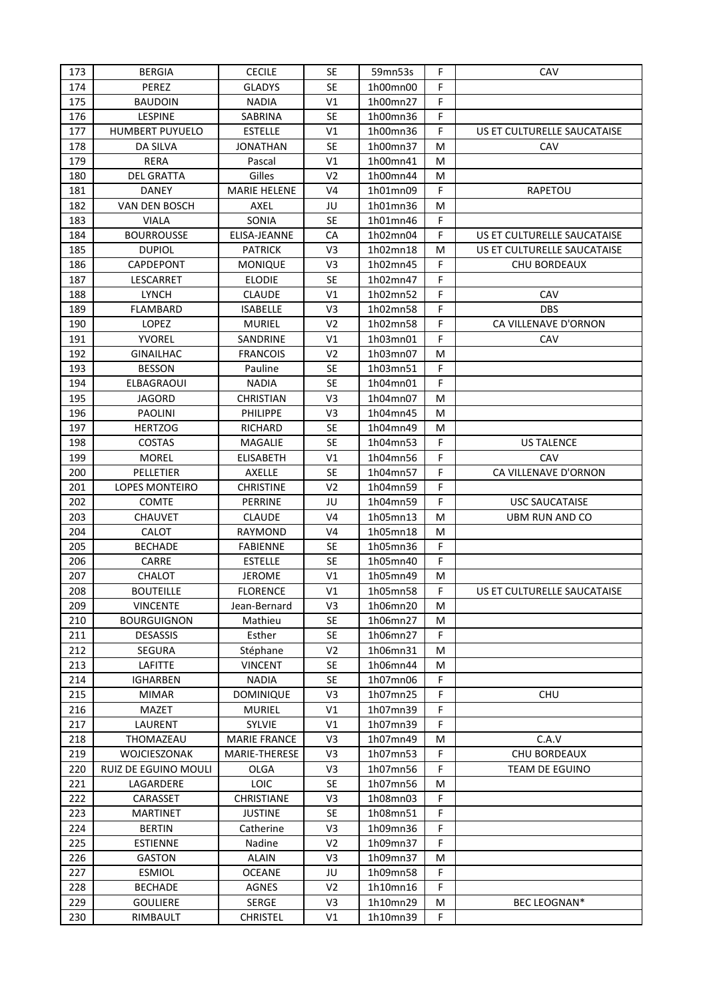| 173 | <b>BERGIA</b>           | <b>CECILE</b>       | <b>SE</b>      | 59mn53s  | F  | CAV                         |
|-----|-------------------------|---------------------|----------------|----------|----|-----------------------------|
| 174 | PEREZ                   | <b>GLADYS</b>       | <b>SE</b>      | 1h00mn00 | F  |                             |
| 175 | <b>BAUDOIN</b>          | <b>NADIA</b>        | V1             | 1h00mn27 | F  |                             |
| 176 | LESPINE                 | SABRINA             | <b>SE</b>      | 1h00mn36 | F  |                             |
| 177 | HUMBERT PUYUELO         | <b>ESTELLE</b>      | V <sub>1</sub> | 1h00mn36 | F  | US ET CULTURELLE SAUCATAISE |
| 178 | DA SILVA                | JONATHAN            | <b>SE</b>      | 1h00mn37 | м  | CAV                         |
| 179 | <b>RERA</b>             | Pascal              | V <sub>1</sub> | 1h00mn41 | M  |                             |
| 180 | <b>DEL GRATTA</b>       | Gilles              | V <sub>2</sub> | 1h00mn44 | M  |                             |
| 181 | DANEY                   | <b>MARIE HELENE</b> | V <sub>4</sub> | 1h01mn09 | F  | RAPETOU                     |
| 182 | VAN DEN BOSCH           | AXEL                | JU             | 1h01mn36 | M  |                             |
| 183 |                         |                     | <b>SE</b>      |          | F  |                             |
|     | <b>VIALA</b>            | SONIA               |                | 1h01mn46 |    |                             |
| 184 | <b>BOURROUSSE</b>       | ELISA-JEANNE        | CA             | 1h02mn04 | F  | US ET CULTURELLE SAUCATAISE |
| 185 | <b>DUPIOL</b>           | <b>PATRICK</b>      | V3             | 1h02mn18 | M  | US ET CULTURELLE SAUCATAISE |
| 186 | CAPDEPONT               | <b>MONIQUE</b>      | V <sub>3</sub> | 1h02mn45 | F  | CHU BORDEAUX                |
| 187 | LESCARRET               | <b>ELODIE</b>       | <b>SE</b>      | 1h02mn47 | F  |                             |
| 188 | <b>LYNCH</b>            | CLAUDE              | V1             | 1h02mn52 | F  | CAV                         |
| 189 | <b>FLAMBARD</b>         | <b>ISABELLE</b>     | V <sub>3</sub> | 1h02mn58 | F  | <b>DBS</b>                  |
| 190 | LOPEZ                   | <b>MURIEL</b>       | V <sub>2</sub> | 1h02mn58 | F  | CA VILLENAVE D'ORNON        |
| 191 | <b>YVOREL</b>           | SANDRINE            | V <sub>1</sub> | 1h03mn01 | F  | CAV                         |
| 192 | <b>GINAILHAC</b>        | <b>FRANCOIS</b>     | V <sub>2</sub> | 1h03mn07 | M  |                             |
| 193 | <b>BESSON</b>           | Pauline             | <b>SE</b>      | 1h03mn51 | F  |                             |
| 194 | <b>ELBAGRAOUI</b>       | <b>NADIA</b>        | <b>SE</b>      | 1h04mn01 | F  |                             |
| 195 | <b>JAGORD</b>           | <b>CHRISTIAN</b>    | V <sub>3</sub> | 1h04mn07 | M  |                             |
| 196 | <b>PAOLINI</b>          | PHILIPPE            | V3             | 1h04mn45 | M  |                             |
| 197 | <b>HERTZOG</b>          | RICHARD             | <b>SE</b>      | 1h04mn49 | M  |                             |
| 198 | COSTAS                  | MAGALIE             | <b>SE</b>      | 1h04mn53 | F  | <b>US TALENCE</b>           |
| 199 | <b>MOREL</b>            | <b>ELISABETH</b>    | V1             | 1h04mn56 | F  | CAV                         |
| 200 | PELLETIER               | AXELLE              | <b>SE</b>      | 1h04mn57 | F  | CA VILLENAVE D'ORNON        |
| 201 | LOPES MONTEIRO          | <b>CHRISTINE</b>    | V <sub>2</sub> | 1h04mn59 | F  |                             |
| 202 | <b>COMTE</b>            | PERRINE             | JU             | 1h04mn59 | F  | <b>USC SAUCATAISE</b>       |
| 203 | <b>CHAUVET</b>          | <b>CLAUDE</b>       | V <sub>4</sub> | 1h05mn13 | м  | UBM RUN AND CO              |
| 204 | <b>CALOT</b>            | RAYMOND             | V <sub>4</sub> | 1h05mn18 | M  |                             |
| 205 |                         | <b>FABIENNE</b>     | <b>SE</b>      |          | F  |                             |
|     | <b>BECHADE</b><br>CARRE |                     |                | 1h05mn36 | F  |                             |
| 206 |                         | <b>ESTELLE</b>      | <b>SE</b>      | 1h05mn40 |    |                             |
| 207 | <b>CHALOT</b>           | <b>JEROME</b>       | V1             | 1h05mn49 | М  |                             |
| 208 | <b>BOUTEILLE</b>        | <b>FLORENCE</b>     | V <sub>1</sub> | 1h05mn58 | F  | US ET CULTURELLE SAUCATAISE |
| 209 | <b>VINCENTE</b>         | Jean-Bernard        | V3             | 1h06mn20 | М  |                             |
| 210 | <b>BOURGUIGNON</b>      | Mathieu             | <b>SE</b>      | 1h06mn27 | М  |                             |
| 211 | <b>DESASSIS</b>         | Esther              | SE             | 1h06mn27 | F  |                             |
| 212 | <b>SEGURA</b>           | Stéphane            | V <sub>2</sub> | 1h06mn31 | М  |                             |
| 213 | LAFITTE                 | <b>VINCENT</b>      | SE             | 1h06mn44 | M  |                             |
| 214 | <b>IGHARBEN</b>         | <b>NADIA</b>        | SE             | 1h07mn06 | F  |                             |
| 215 | <b>MIMAR</b>            | <b>DOMINIQUE</b>    | V3             | 1h07mn25 | F  | <b>CHU</b>                  |
| 216 | MAZET                   | <b>MURIEL</b>       | V1             | 1h07mn39 | F  |                             |
| 217 | LAURENT                 | SYLVIE              | V1             | 1h07mn39 | F  |                             |
| 218 | THOMAZEAU               | <b>MARIE FRANCE</b> | V <sub>3</sub> | 1h07mn49 | M  | C.A.V                       |
| 219 | WOJCIESZONAK            | MARIE-THERESE       | V <sub>3</sub> | 1h07mn53 | F  | CHU BORDEAUX                |
| 220 | RUIZ DE EGUINO MOULI    | OLGA                | V3             | 1h07mn56 | F  | TEAM DE EGUINO              |
| 221 | LAGARDERE               | <b>LOIC</b>         | <b>SE</b>      | 1h07mn56 | М  |                             |
| 222 | CARASSET                | CHRISTIANE          | V3             | 1h08mn03 | F. |                             |
| 223 | <b>MARTINET</b>         | <b>JUSTINE</b>      | <b>SE</b>      | 1h08mn51 | F. |                             |
| 224 | <b>BERTIN</b>           | Catherine           | V3             | 1h09mn36 | F  |                             |
| 225 | <b>ESTIENNE</b>         | Nadine              | V <sub>2</sub> | 1h09mn37 | F  |                             |
| 226 | <b>GASTON</b>           | <b>ALAIN</b>        | V3             | 1h09mn37 | M  |                             |
| 227 | <b>ESMIOL</b>           | <b>OCEANE</b>       | JU             | 1h09mn58 | F  |                             |
| 228 | <b>BECHADE</b>          | AGNES               | V <sub>2</sub> | 1h10mn16 | F  |                             |
| 229 | <b>GOULIERE</b>         | SERGE               | V <sub>3</sub> | 1h10mn29 | M  | BEC LEOGNAN*                |
| 230 | RIMBAULT                | <b>CHRISTEL</b>     | V1             | 1h10mn39 | F  |                             |
|     |                         |                     |                |          |    |                             |